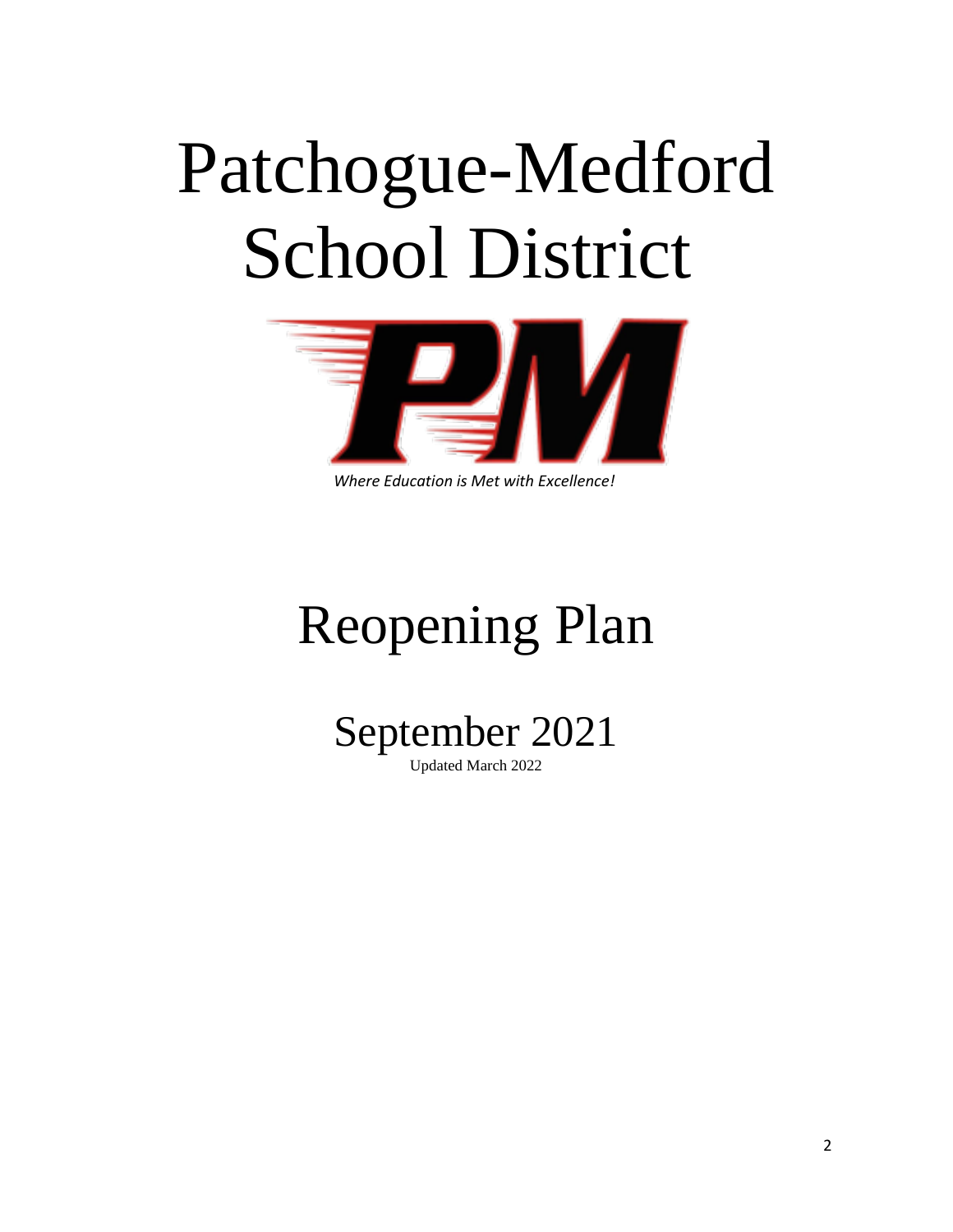# Patchogue-Medford School District



*Where Education is Met with Excellence!*

# Reopening Plan



Updated March 2022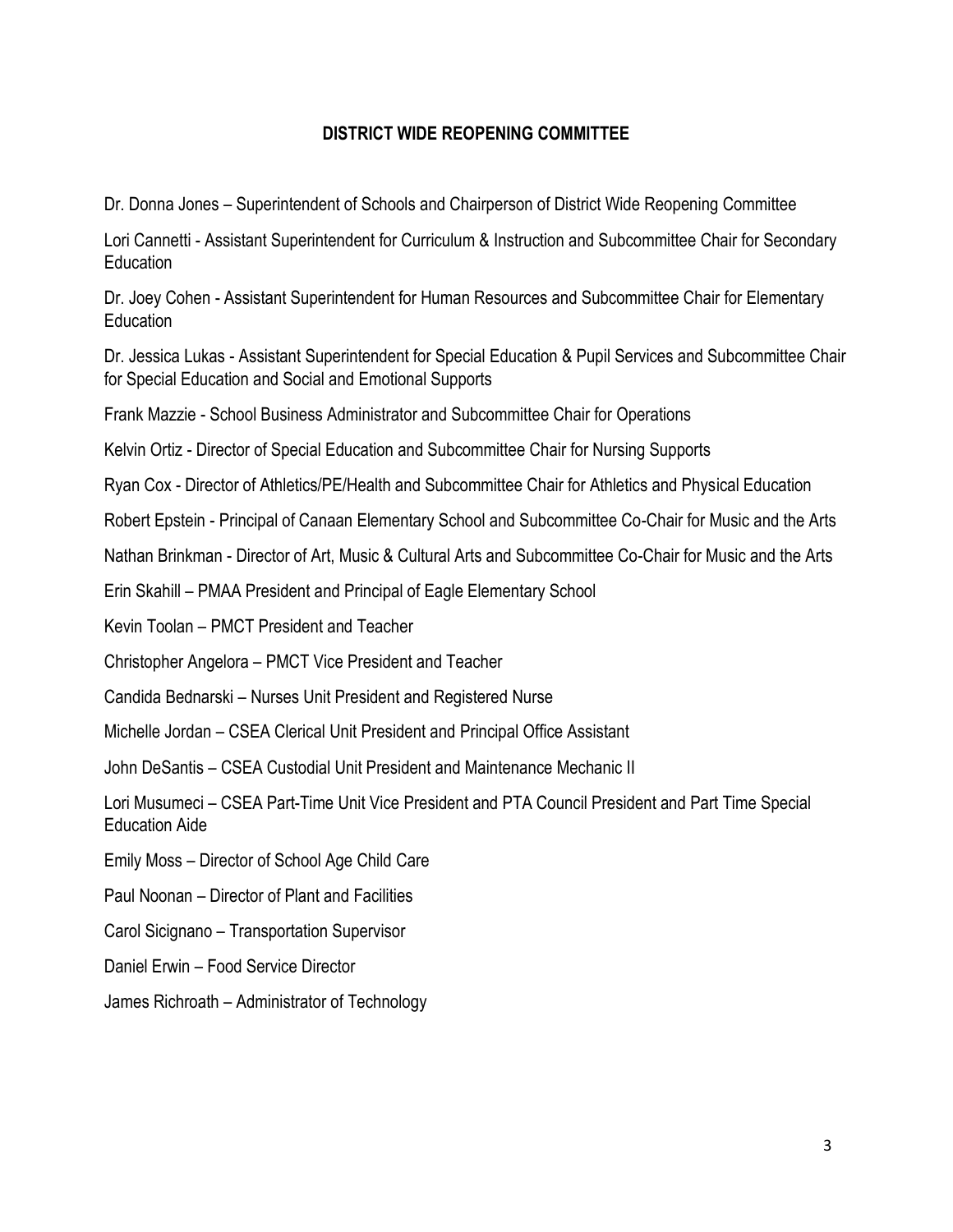#### **DISTRICT WIDE REOPENING COMMITTEE**

Dr. Donna Jones – Superintendent of Schools and Chairperson of District Wide Reopening Committee

Lori Cannetti - Assistant Superintendent for Curriculum & Instruction and Subcommittee Chair for Secondary Education

Dr. Joey Cohen - Assistant Superintendent for Human Resources and Subcommittee Chair for Elementary Education

Dr. Jessica Lukas - Assistant Superintendent for Special Education & Pupil Services and Subcommittee Chair for Special Education and Social and Emotional Supports

Frank Mazzie - School Business Administrator and Subcommittee Chair for Operations

Kelvin Ortiz - Director of Special Education and Subcommittee Chair for Nursing Supports

Ryan Cox - Director of Athletics/PE/Health and Subcommittee Chair for Athletics and Physical Education

Robert Epstein - Principal of Canaan Elementary School and Subcommittee Co-Chair for Music and the Arts

Nathan Brinkman - Director of Art, Music & Cultural Arts and Subcommittee Co-Chair for Music and the Arts

Erin Skahill – PMAA President and Principal of Eagle Elementary School

Kevin Toolan – PMCT President and Teacher

Christopher Angelora – PMCT Vice President and Teacher

Candida Bednarski – Nurses Unit President and Registered Nurse

Michelle Jordan – CSEA Clerical Unit President and Principal Office Assistant

John DeSantis – CSEA Custodial Unit President and Maintenance Mechanic II

Lori Musumeci – CSEA Part-Time Unit Vice President and PTA Council President and Part Time Special Education Aide

Emily Moss – Director of School Age Child Care

Paul Noonan – Director of Plant and Facilities

Carol Sicignano – Transportation Supervisor

Daniel Erwin – Food Service Director

James Richroath – Administrator of Technology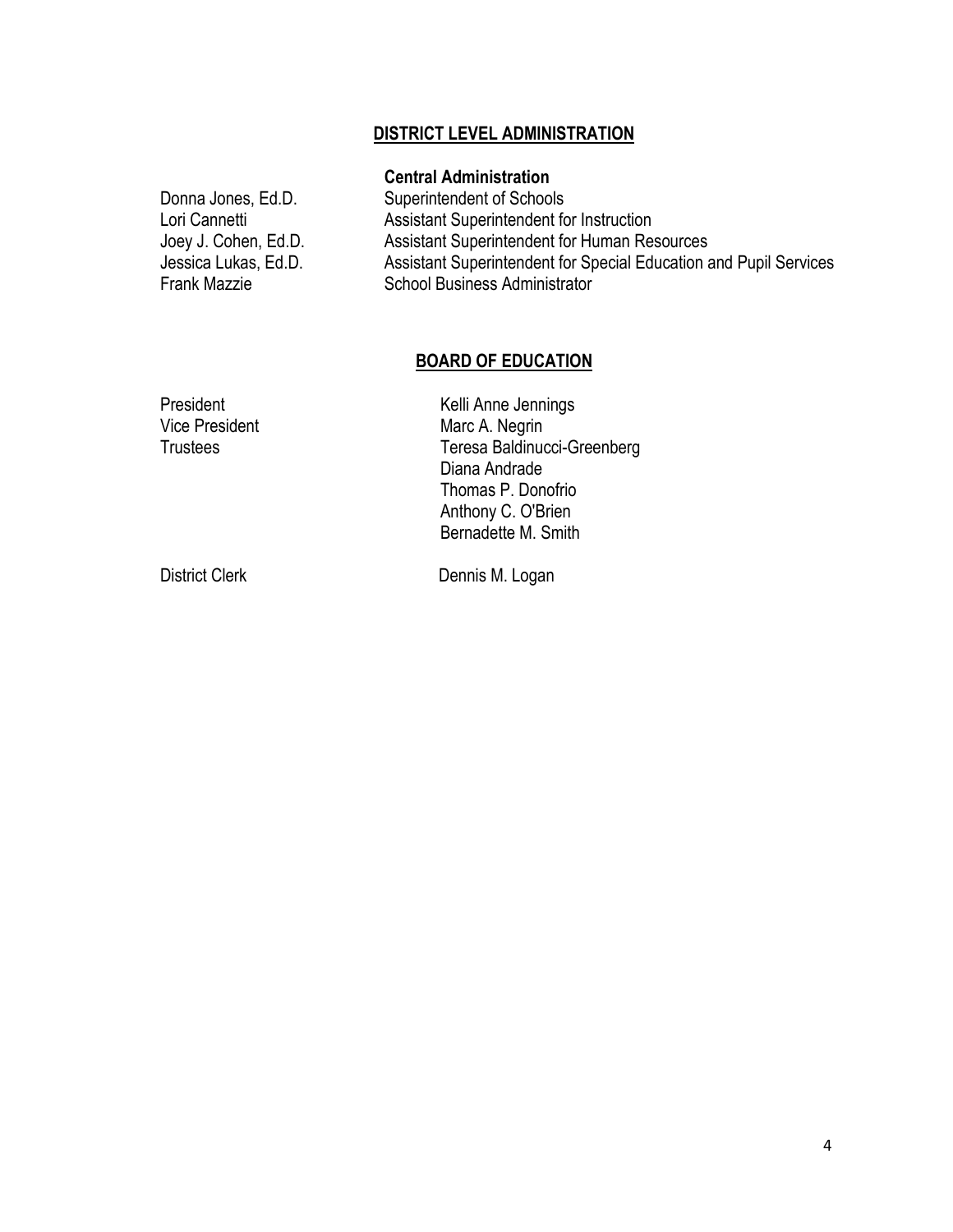#### **DISTRICT LEVEL ADMINISTRATION**

#### **Central Administration**

Donna Jones, Ed.D. Superintendent of Schools Lori Cannetti **Assistant Superintendent for Instruction** Joey J. Cohen, Ed.D. Assistant Superintendent for Human Resources Jessica Lukas, Ed.D. Assistant Superintendent for Special Education and Pupil Services School Business Administrator

#### **BOARD OF EDUCATION**

| President             | Kelli Anne Jennings         |
|-----------------------|-----------------------------|
| <b>Vice President</b> | Marc A. Negrin              |
| <b>Trustees</b>       | Teresa Baldinucci-Greenberg |
|                       | Diana Andrade               |
|                       | Thomas P. Donofrio          |
|                       | Anthony C. O'Brien          |
|                       | Bernadette M. Smith         |
|                       |                             |

District Clerk Dennis M. Logan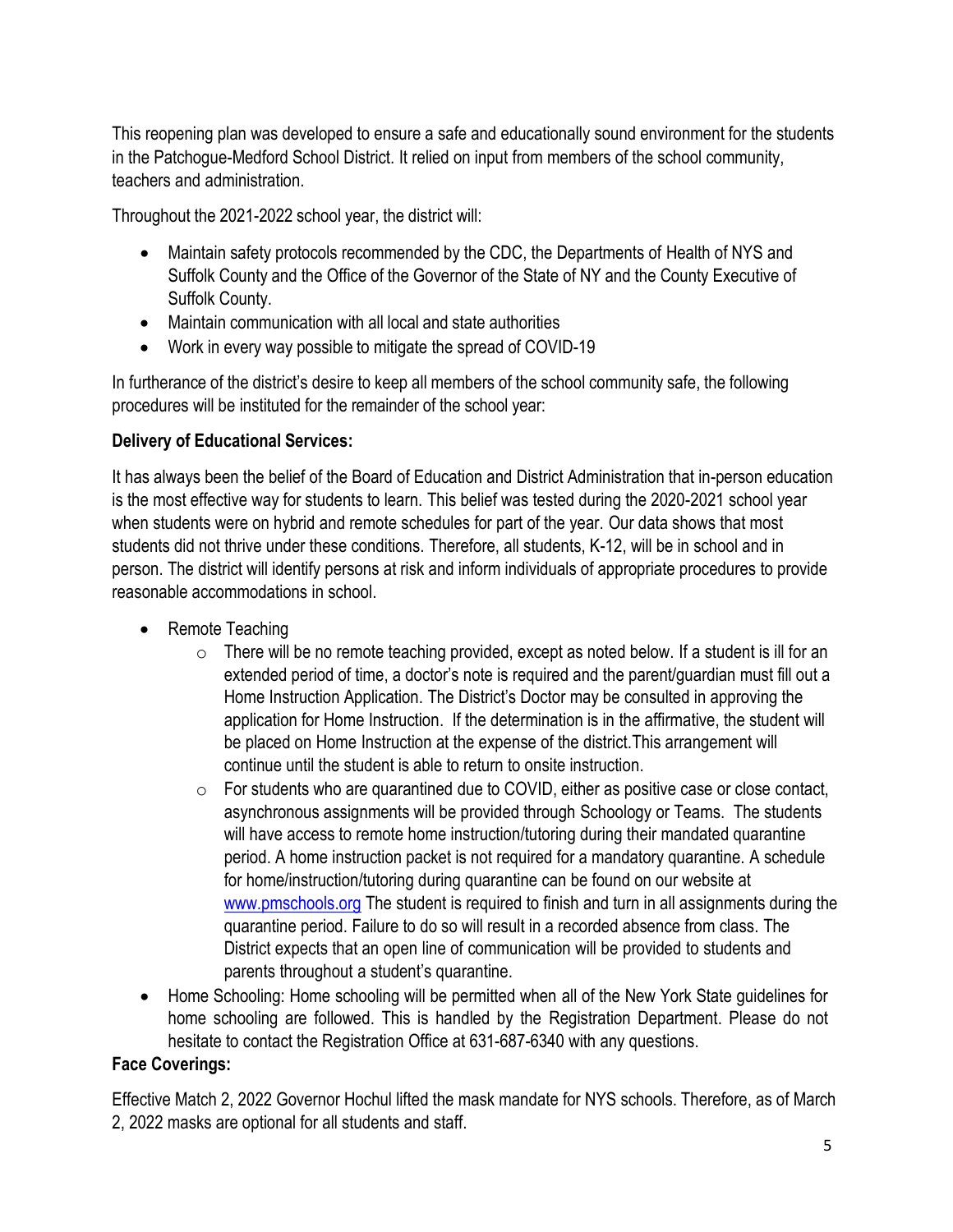This reopening plan was developed to ensure a safe and educationally sound environment for the students in the Patchogue-Medford School District. It relied on input from members of the school community, teachers and administration.

Throughout the 2021-2022 school year, the district will:

- Maintain safety protocols recommended by the CDC, the Departments of Health of NYS and Suffolk County and the Office of the Governor of the State of NY and the County Executive of Suffolk County.
- Maintain communication with all local and state authorities
- Work in every way possible to mitigate the spread of COVID-19

In furtherance of the district's desire to keep all members of the school community safe, the following procedures will be instituted for the remainder of the school year:

## **Delivery of Educational Services:**

It has always been the belief of the Board of Education and District Administration that in-person education is the most effective way for students to learn. This belief was tested during the 2020-2021 school year when students were on hybrid and remote schedules for part of the year. Our data shows that most students did not thrive under these conditions. Therefore, all students, K-12, will be in school and in person. The district will identify persons at risk and inform individuals of appropriate procedures to provide reasonable accommodations in school.

- Remote Teaching
	- $\circ$  There will be no remote teaching provided, except as noted below. If a student is ill for an extended period of time, a doctor's note is required and the parent/guardian must fill out a Home Instruction Application. The District's Doctor may be consulted in approving the application for Home Instruction. If the determination is in the affirmative, the student will be placed on Home Instruction at the expense of the district.This arrangement will continue until the student is able to return to onsite instruction.
	- $\circ$  For students who are quarantined due to COVID, either as positive case or close contact, asynchronous assignments will be provided through Schoology or Teams. The students will have access to remote home instruction/tutoring during their mandated quarantine period. A home instruction packet is not required for a mandatory quarantine. A schedule for home/instruction/tutoring during quarantine can be found on our website at [www.pmschools.org](http://www.pmschools.org/) The student is required to finish and turn in all assignments during the quarantine period. Failure to do so will result in a recorded absence from class. The District expects that an open line of communication will be provided to students and parents throughout a student's quarantine.
- Home Schooling: Home schooling will be permitted when all of the New York State guidelines for home schooling are followed. This is handled by the Registration Department. Please do not hesitate to contact the Registration Office at 631-687-6340 with any questions.

### **Face Coverings:**

Effective Match 2, 2022 Governor Hochul lifted the mask mandate for NYS schools. Therefore, as of March 2, 2022 masks are optional for all students and staff.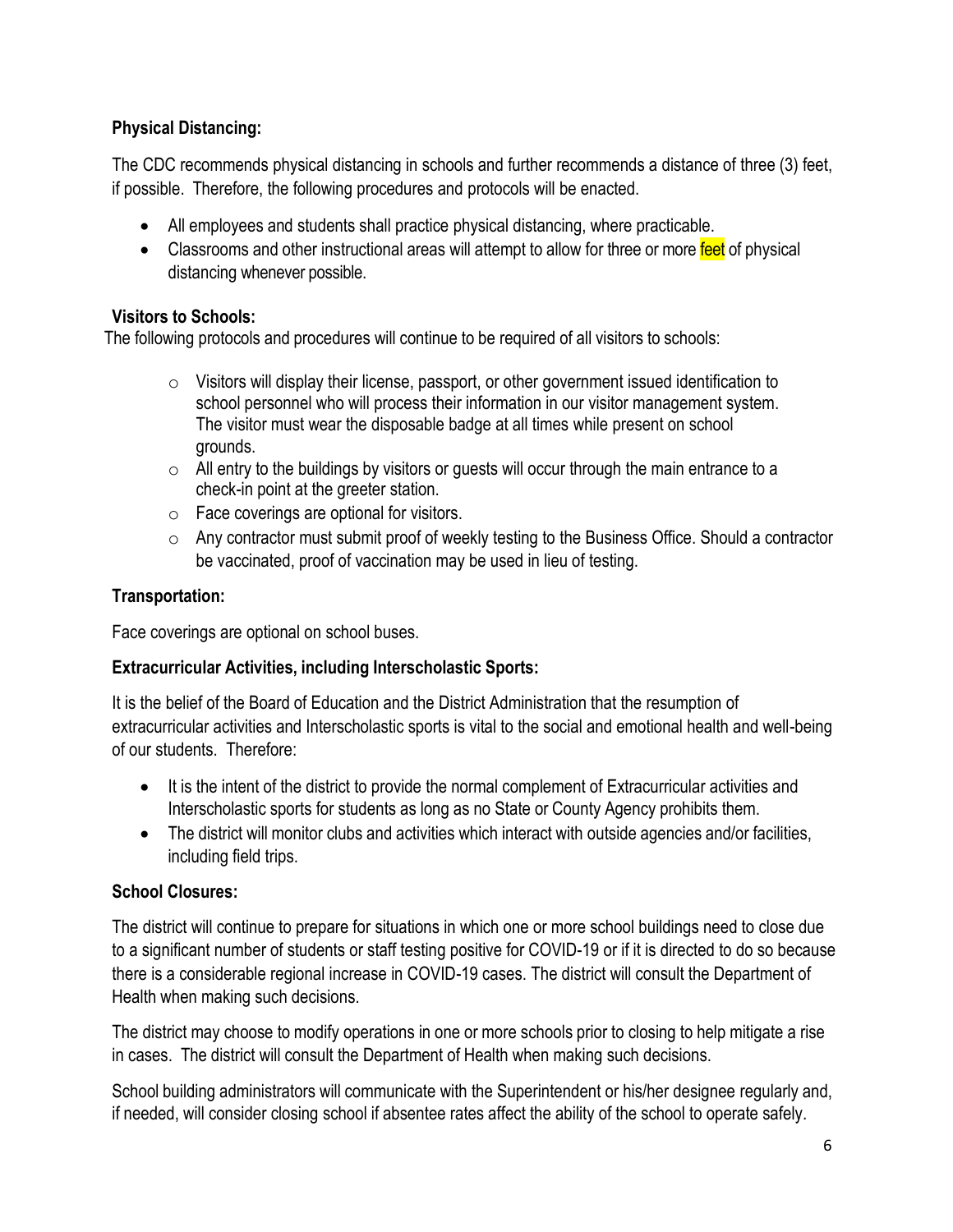#### **Physical Distancing:**

The CDC recommends physical distancing in schools and further recommends a distance of three (3) feet, if possible. Therefore, the following procedures and protocols will be enacted.

- All employees and students shall practice physical distancing, where practicable.
- Classrooms and other instructional areas will attempt to allow for three or more feet of physical distancing whenever possible.

#### **Visitors to Schools:**

The following protocols and procedures will continue to be required of all visitors to schools:

- $\circ$  Visitors will display their license, passport, or other government issued identification to school personnel who will process their information in our visitor management system. The visitor must wear the disposable badge at all times while present on school grounds.
- $\circ$  All entry to the buildings by visitors or guests will occur through the main entrance to a check-in point at the greeter station.
- $\circ$  Face coverings are optional for visitors.
- o Any contractor must submit proof of weekly testing to the Business Office. Should a contractor be vaccinated, proof of vaccination may be used in lieu of testing.

#### **Transportation:**

Face coverings are optional on school buses.

#### **Extracurricular Activities, including Interscholastic Sports:**

It is the belief of the Board of Education and the District Administration that the resumption of extracurricular activities and Interscholastic sports is vital to the social and emotional health and well-being of our students. Therefore:

- It is the intent of the district to provide the normal complement of Extracurricular activities and Interscholastic sports for students as long as no State or County Agency prohibits them.
- The district will monitor clubs and activities which interact with outside agencies and/or facilities, including field trips.

#### **School Closures:**

The district will continue to prepare for situations in which one or more school buildings need to close due to a significant number of students or staff testing positive for COVID-19 or if it is directed to do so because there is a considerable regional increase in COVID-19 cases. The district will consult the Department of Health when making such decisions.

The district may choose to modify operations in one or more schools prior to closing to help mitigate a rise in cases. The district will consult the Department of Health when making such decisions.

School building administrators will communicate with the Superintendent or his/her designee regularly and, if needed, will consider closing school if absentee rates affect the ability of the school to operate safely.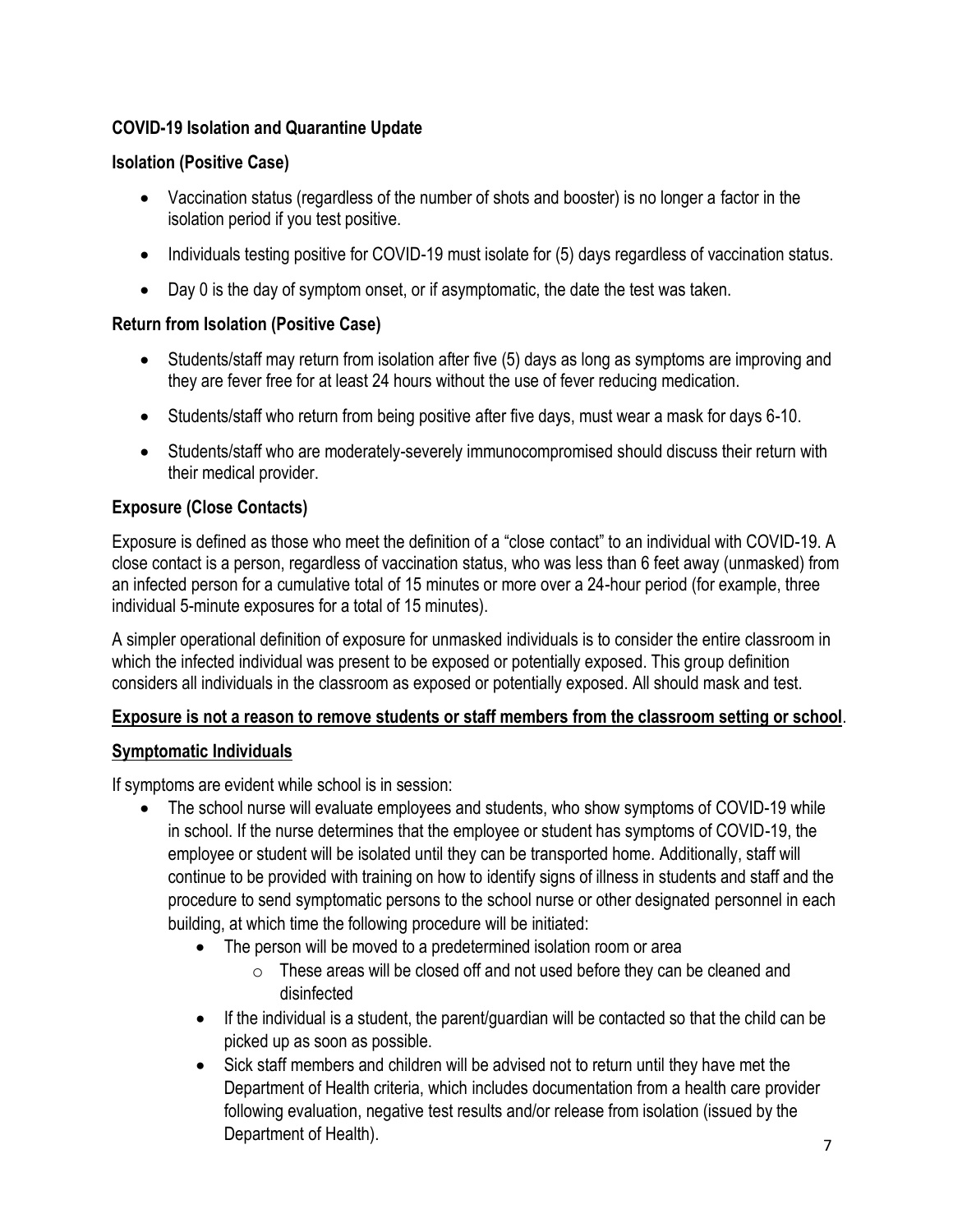#### **COVID-19 Isolation and Quarantine Update**

#### **Isolation (Positive Case)**

- Vaccination status (regardless of the number of shots and booster) is no longer a factor in the isolation period if you test positive.
- Individuals testing positive for COVID-19 must isolate for (5) days regardless of vaccination status.
- Day 0 is the day of symptom onset, or if asymptomatic, the date the test was taken.

#### **Return from Isolation (Positive Case)**

- Students/staff may return from isolation after five (5) days as long as symptoms are improving and they are fever free for at least 24 hours without the use of fever reducing medication.
- Students/staff who return from being positive after five days, must wear a mask for days 6-10.
- Students/staff who are moderately-severely immunocompromised should discuss their return with their medical provider.

#### **Exposure (Close Contacts)**

Exposure is defined as those who meet the definition of a "close contact" to an individual with COVID-19. A close contact is a person, regardless of vaccination status, who was less than 6 feet away (unmasked) from an infected person for a cumulative total of 15 minutes or more over a 24-hour period (for example, three individual 5-minute exposures for a total of 15 minutes).

A simpler operational definition of exposure for unmasked individuals is to consider the entire classroom in which the infected individual was present to be exposed or potentially exposed. This group definition considers all individuals in the classroom as exposed or potentially exposed. All should mask and test.

#### **Exposure is not a reason to remove students or staff members from the classroom setting or school**.

#### **Symptomatic Individuals**

If symptoms are evident while school is in session:

- The school nurse will evaluate employees and students, who show symptoms of COVID-19 while in school. If the nurse determines that the employee or student has symptoms of COVID-19, the employee or student will be isolated until they can be transported home. Additionally, staff will continue to be provided with training on how to identify signs of illness in students and staff and the procedure to send symptomatic persons to the school nurse or other designated personnel in each building, at which time the following procedure will be initiated:
	- The person will be moved to a predetermined isolation room or area
		- o These areas will be closed off and not used before they can be cleaned and disinfected
	- If the individual is a student, the parent/guardian will be contacted so that the child can be picked up as soon as possible.
	- Sick staff members and children will be advised not to return until they have met the Department of Health criteria, which includes documentation from a health care provider following evaluation, negative test results and/or release from isolation (issued by the Department of Health).